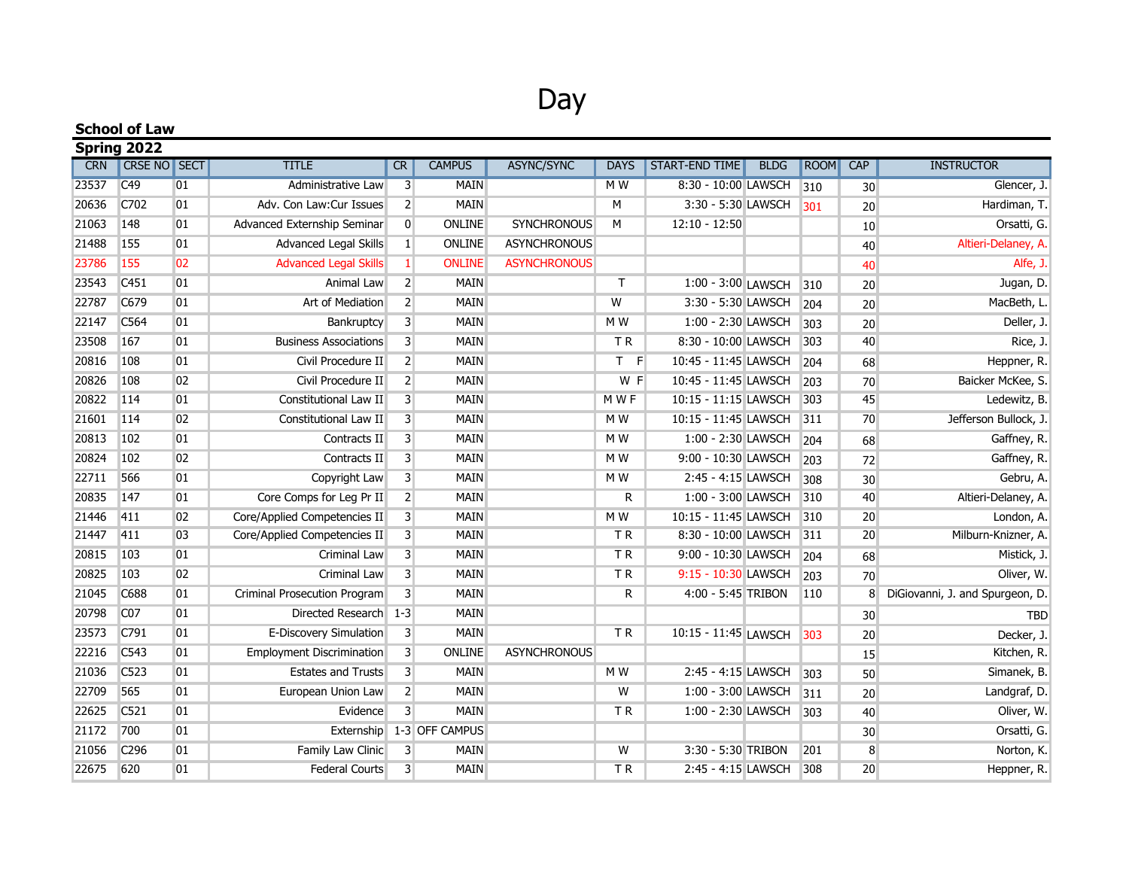## Day

|            | <b>School of Law</b> |                |                                    |                         |                |                     |                |                       |             |      |     |                                 |
|------------|----------------------|----------------|------------------------------------|-------------------------|----------------|---------------------|----------------|-----------------------|-------------|------|-----|---------------------------------|
|            | Spring 2022          |                |                                    |                         |                |                     |                |                       |             |      |     |                                 |
| <b>CRN</b> | <b>CRSE NO SECT</b>  |                | <b>TITLE</b>                       | <b>CR</b>               | <b>CAMPUS</b>  | ASYNC/SYNC          | <b>DAYS</b>    | <b>START-END TIME</b> | <b>BLDG</b> | ROOM | CAP | <b>INSTRUCTOR</b>               |
| 23537      | C49                  | 01             | Administrative Law                 | $\overline{3}$          | <b>MAIN</b>    |                     | $M$ W          | 8:30 - 10:00 LAWSCH   |             | 310  | 30  | Glencer, J.                     |
| 20636      | C702                 | 01             | Adv. Con Law:Cur Issues            | $\overline{2}$          | <b>MAIN</b>    |                     | M              | 3:30 - 5:30 LAWSCH    |             | 301  | 20  | Hardiman, T.                    |
| 21063      | 148                  | 01             | <b>Advanced Externship Seminar</b> | $\mathbf{0}$            | <b>ONLINE</b>  | SYNCHRONOUS         | M              | $12:10 - 12:50$       |             |      | 10  | Orsatti, G.                     |
| 21488      | 155                  | 01             | Advanced Legal Skills              | $1\vert$                | <b>ONLINE</b>  | <b>ASYNCHRONOUS</b> |                |                       |             |      | 40  | Altieri-Delaney, A.             |
| 23786      | 155                  | 02             | <b>Advanced Legal Skills</b>       | $\mathbf{1}$            | <b>ONLINE</b>  | <b>ASYNCHRONOUS</b> |                |                       |             |      | 40  | Alfe, J.                        |
| 23543      | C451                 | 01             | Animal Law                         | $\overline{2}$          | <b>MAIN</b>    |                     | $\mathsf{T}$   | 1:00 - 3:00 LAWSCH    |             | 310  | 20  | Jugan, D.                       |
| 22787      | C679                 | 01             | Art of Mediation                   | $\overline{2}$          | <b>MAIN</b>    |                     | W              | 3:30 - 5:30 LAWSCH    |             | 204  | 20  | MacBeth, L.                     |
| 22147      | C564                 | 01             | Bankruptcy                         | $\overline{3}$          | <b>MAIN</b>    |                     | M W            | 1:00 - 2:30 LAWSCH    |             | 303  | 20  | Deller, J.                      |
| 23508      | 167                  | 01             | <b>Business Associations</b>       | $\overline{3}$          | <b>MAIN</b>    |                     | <b>TR</b>      | 8:30 - 10:00 LAWSCH   |             | 303  | 40  | Rice, J.                        |
| 20816      | 108                  | 01             | Civil Procedure II                 | $\overline{2}$          | <b>MAIN</b>    |                     | $T$ F          | 10:45 - 11:45 LAWSCH  |             | 204  | 68  | Heppner, R.                     |
| 20826      | 108                  | 02             | Civil Procedure II                 | $\overline{2}$          | <b>MAIN</b>    |                     | W F            | 10:45 - 11:45 LAWSCH  |             | 203  | 70  | Baicker McKee, S.               |
| 20822      | 114                  | 01             | Constitutional Law II              | $\overline{3}$          | <b>MAIN</b>    |                     | M W F          | 10:15 - 11:15 LAWSCH  |             | 303  | 45  | Ledewitz, B.                    |
| 21601      | 114                  | 02             | Constitutional Law II              | $\overline{3}$          | <b>MAIN</b>    |                     | M W            | 10:15 - 11:45 LAWSCH  |             | 311  | 70  | Jefferson Bullock, J.           |
| 20813      | 102                  | 01             | Contracts II                       | 3                       | <b>MAIN</b>    |                     | M W            | 1:00 - 2:30 LAWSCH    |             | 204  | 68  | Gaffney, R.                     |
| 20824      | 102                  | 02             | Contracts II                       | $\overline{3}$          | <b>MAIN</b>    |                     | M W            | 9:00 - 10:30 LAWSCH   |             | 203  | 72  | Gaffney, R.                     |
| 22711      | 566                  | 01             | Copyright Law                      | 3                       | <b>MAIN</b>    |                     | M W            | 2:45 - 4:15 LAWSCH    |             | 308  | 30  | Gebru, A.                       |
| 20835      | 147                  | 01             | Core Comps for Leg Pr II           | $\overline{2}$          | <b>MAIN</b>    |                     | R              | 1:00 - 3:00 LAWSCH    |             | 310  | 40  | Altieri-Delaney, A.             |
| 21446      | 411                  | 02             | Core/Applied Competencies II       | 3                       | <b>MAIN</b>    |                     | M W            | 10:15 - 11:45 LAWSCH  |             | 310  | 20  | London, A.                      |
| 21447      | 411                  | 0 <sub>3</sub> | Core/Applied Competencies II       | $\overline{3}$          | <b>MAIN</b>    |                     | <b>TR</b>      | 8:30 - 10:00 LAWSCH   |             | 311  | 20  | Milburn-Knizner, A.             |
| 20815      | 103                  | 01             | <b>Criminal Law</b>                | 3                       | <b>MAIN</b>    |                     | TR             | 9:00 - 10:30 LAWSCH   |             | 204  | 68  | Mistick, J.                     |
| 20825      | 103                  | 02             | <b>Criminal Law</b>                | $\overline{3}$          | <b>MAIN</b>    |                     | TR             | 9:15 - 10:30 LAWSCH   |             | 203  | 70  | Oliver, W.                      |
| 21045      | C688                 | 01             | Criminal Prosecution Program       | 3                       | <b>MAIN</b>    |                     | R              | 4:00 - 5:45 TRIBON    |             | 110  | 8   | DiGiovanni, J. and Spurgeon, D. |
| 20798      | CO <sub>7</sub>      | 01             | Directed Research 1-3              |                         | <b>MAIN</b>    |                     |                |                       |             |      | 30  | <b>TBD</b>                      |
| 23573      | C791                 | 01             | E-Discovery Simulation             | $\overline{3}$          | <b>MAIN</b>    |                     | TR             | 10:15 - 11:45 LAWSCH  |             | 303  | 20  | Decker, J.                      |
| 22216      | C543                 | 01             | <b>Employment Discrimination</b>   | $\overline{3}$          | ONLINE         | <b>ASYNCHRONOUS</b> |                |                       |             |      | 15  | Kitchen, R.                     |
| 21036      | C523                 | 01             | <b>Estates and Trusts</b>          | $\overline{\mathbf{3}}$ | <b>MAIN</b>    |                     | M <sub>W</sub> | 2:45 - 4:15 LAWSCH    |             | 303  | 50  | Simanek, B.                     |
| 22709      | 565                  | 01             | European Union Law                 | $\overline{2}$          | <b>MAIN</b>    |                     | $\overline{W}$ | 1:00 - 3:00 LAWSCH    |             | 311  | 20  | Landgraf, D.                    |
| 22625      | C521                 | 01             | Evidence                           | $\overline{3}$          | <b>MAIN</b>    |                     | ΤR             | 1:00 - 2:30 LAWSCH    |             | 303  | 40  | Oliver, W.                      |
| 21172      | 700                  | 01             | Externship                         |                         | 1-3 OFF CAMPUS |                     |                |                       |             |      | 30  | Orsatti, G.                     |
| 21056      | C <sub>296</sub>     | 01             | Family Law Clinic                  | $\overline{3}$          | <b>MAIN</b>    |                     | W              | 3:30 - 5:30 TRIBON    |             | 201  | 8   | Norton, K.                      |
| 22675      | 620                  | 01             | <b>Federal Courts</b>              | $\overline{3}$          | <b>MAIN</b>    |                     | TR             | 2:45 - 4:15 LAWSCH    |             | 308  | 20  | Heppner, R.                     |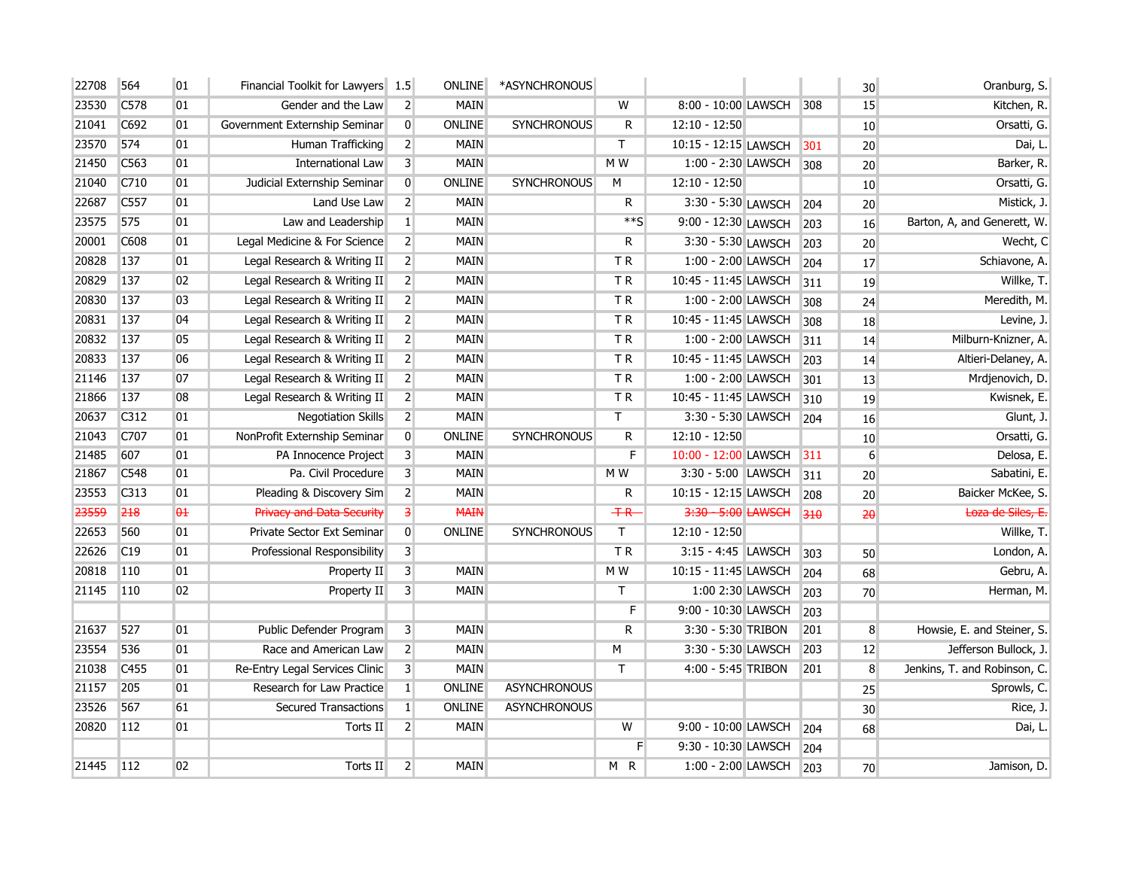| 22708 | 564              | 01                    | Financial Toolkit for Lawyers 1.5 |                         | <b>ONLINE</b> | *ASYNCHRONOUS       |                         |                      |       | 30              | Oranburg, S.                 |
|-------|------------------|-----------------------|-----------------------------------|-------------------------|---------------|---------------------|-------------------------|----------------------|-------|-----------------|------------------------------|
| 23530 | C578             | 01                    | Gender and the Law                | $\overline{2}$          | <b>MAIN</b>   |                     | W                       | 8:00 - 10:00 LAWSCH  | 308   | 15              | Kitchen, R.                  |
| 21041 | C692             | 01                    | Government Externship Seminar     | $\overline{0}$          | ONLINE        | <b>SYNCHRONOUS</b>  | R                       | $12:10 - 12:50$      |       | 10              | Orsatti, G.                  |
| 23570 | 574              | 01                    | Human Trafficking                 | $\overline{2}$          | <b>MAIN</b>   |                     | T                       | 10:15 - 12:15 LAWSCH | 301   | 20              | Dai, L.                      |
| 21450 | C563             | 01                    | International Law                 | $\overline{3}$          | <b>MAIN</b>   |                     | M W                     | 1:00 - 2:30 LAWSCH   | 308   | 20              | Barker, R.                   |
| 21040 | C710             | 01                    | Judicial Externship Seminar       | $\overline{0}$          | ONLINE        | <b>SYNCHRONOUS</b>  | M                       | $12:10 - 12:50$      |       | 10 <sup>1</sup> | Orsatti, G.                  |
| 22687 | C557             | 01                    | Land Use Law                      | $\overline{2}$          | <b>MAIN</b>   |                     | $\mathsf{R}$            | 3:30 - 5:30 LAWSCH   | 204   | 20              | Mistick, J.                  |
| 23575 | 575              | 01                    | Law and Leadership                | $\vert 1 \vert$         | <b>MAIN</b>   |                     | $**S$                   | 9:00 - 12:30 LAWSCH  | 203   | 16              | Barton, A, and Generett, W.  |
| 20001 | C608             | 01                    | Legal Medicine & For Science      | $\overline{2}$          | MAIN          |                     | R                       | 3:30 - 5:30 LAWSCH   | 203   | 20              | Wecht, C                     |
| 20828 | 137              | 01                    | Legal Research & Writing II       | $\overline{2}$          | <b>MAIN</b>   |                     | TR                      | 1:00 - 2:00 LAWSCH   | 204   | 17              | Schiavone, A.                |
| 20829 | 137              | 02                    | Legal Research & Writing II       | $\overline{2}$          | <b>MAIN</b>   |                     | TR                      | 10:45 - 11:45 LAWSCH | $311$ | 19              | Willke, T.                   |
| 20830 | 137              | 03                    | Legal Research & Writing II       | $\overline{2}$          | <b>MAIN</b>   |                     | TR                      | 1:00 - 2:00 LAWSCH   | 308   | 24              | Meredith, M.                 |
| 20831 | 137              | 04                    | Legal Research & Writing II       | $\overline{2}$          | <b>MAIN</b>   |                     | TR                      | 10:45 - 11:45 LAWSCH | 308   | 18              | Levine, J.                   |
| 20832 | 137              | 05                    | Legal Research & Writing II       | $\overline{2}$          | <b>MAIN</b>   |                     | TR                      | 1:00 - 2:00 LAWSCH   | 311   | 14              | Milburn-Knizner, A.          |
| 20833 | 137              | 06                    | Legal Research & Writing II       | $\overline{2}$          | <b>MAIN</b>   |                     | T R                     | 10:45 - 11:45 LAWSCH | 203   | 14              | Altieri-Delaney, A.          |
| 21146 | 137              | 07                    | Legal Research & Writing II       | $\overline{2}$          | <b>MAIN</b>   |                     | T <sub>R</sub>          | 1:00 - 2:00 LAWSCH   | 301   | 13              | Mrdjenovich, D.              |
| 21866 | 137              | 08                    | Legal Research & Writing II       | 2 <sup>1</sup>          | <b>MAIN</b>   |                     | TR                      | 10:45 - 11:45 LAWSCH | 310   | 19              | Kwisnek, E.                  |
| 20637 | C312             | 01                    | Negotiation Skills                | $\overline{2}$          | <b>MAIN</b>   |                     | $\mathsf{T}$            | 3:30 - 5:30 LAWSCH   | 204   | 16              | Glunt, J.                    |
| 21043 | C707             | 01                    | NonProfit Externship Seminar      | $\overline{0}$          | ONLINE        | <b>SYNCHRONOUS</b>  | R                       | $12:10 - 12:50$      |       | 10              | Orsatti, G.                  |
| 21485 | 607              | 01                    | PA Innocence Project              | $\overline{3}$          | <b>MAIN</b>   |                     | F                       | 10:00 - 12:00 LAWSCH | 311   | $6 \overline{}$ | Delosa, E.                   |
| 21867 | C548             | 01                    | Pa. Civil Procedure               | $\overline{3}$          | <b>MAIN</b>   |                     | M W                     | 3:30 - 5:00 LAWSCH   | 311   | 20              | Sabatini, E.                 |
| 23553 | C313             | 01                    | Pleading & Discovery Sim          | $\overline{2}$          | <b>MAIN</b>   |                     | R                       | 10:15 - 12:15 LAWSCH | 208   | 20              | Baicker McKee, S.            |
| 23559 | 218              | $\theta$ <sup>+</sup> | <b>Privacy and Data Security</b>  | $\overline{\mathbf{3}}$ | <b>MAIN</b>   |                     | $+R$                    | 3:30 - 5:00 LAWSCH   | 310   | 20              | Loza de Siles, E.            |
| 22653 | 560              | 01                    | Private Sector Ext Seminar        | $\overline{0}$          | <b>ONLINE</b> | <b>SYNCHRONOUS</b>  | $\overline{\mathsf{T}}$ | $12:10 - 12:50$      |       |                 | Willke, T.                   |
| 22626 | C19              | 01                    | Professional Responsibility       | $\overline{3}$          |               |                     | TR                      | 3:15 - 4:45 LAWSCH   | 303   | 50              | London, A.                   |
| 20818 | 110              | 01                    | Property II                       | $\mathsf{3}$            | <b>MAIN</b>   |                     | M W                     | 10:15 - 11:45 LAWSCH | 204   | 68              | Gebru, A.                    |
| 21145 | 110              | 02                    | Property II                       | $\overline{\mathbf{3}}$ | <b>MAIN</b>   |                     | T                       | 1:00 2:30 LAWSCH     | 203   | 70              | Herman, M.                   |
|       |                  |                       |                                   |                         |               |                     | F                       | 9:00 - 10:30 LAWSCH  | 203   |                 |                              |
| 21637 | 527              | 01                    | Public Defender Program           | $\overline{\mathbf{3}}$ | <b>MAIN</b>   |                     | R                       | 3:30 - 5:30 TRIBON   | 201   | 8               | Howsie, E. and Steiner, S.   |
| 23554 | 536              | 01                    | Race and American Law             | $\overline{2}$          | <b>MAIN</b>   |                     | М                       | 3:30 - 5:30 LAWSCH   | 203   | 12              | Jefferson Bullock, J.        |
| 21038 | C <sub>455</sub> | 01                    | Re-Entry Legal Services Clinic    | $\overline{3}$          | <b>MAIN</b>   |                     | T.                      | 4:00 - 5:45 TRIBON   | 201   | 8               | Jenkins, T. and Robinson, C. |
| 21157 | 205              | 01                    | Research for Law Practice         | $\vert 1 \vert$         | ONLINE        | <b>ASYNCHRONOUS</b> |                         |                      |       | 25              | Sprowls, C.                  |
| 23526 | 567              | 61                    | <b>Secured Transactions</b>       | $\vert 1 \vert$         | ONLINE        | <b>ASYNCHRONOUS</b> |                         |                      |       | 30 <sup>°</sup> | Rice, J.                     |
| 20820 | 112              | 01                    | Torts II                          | $\vert$ 2               | <b>MAIN</b>   |                     | W                       | 9:00 - 10:00 LAWSCH  | 204   | 68              | Dai, L.                      |
|       |                  |                       |                                   |                         |               |                     | F                       | 9:30 - 10:30 LAWSCH  | 204   |                 |                              |
| 21445 | 112              | 02                    | Torts II                          | $\overline{2}$          | <b>MAIN</b>   |                     | M R                     | 1:00 - 2:00 LAWSCH   | 203   | 70              | Jamison, D.                  |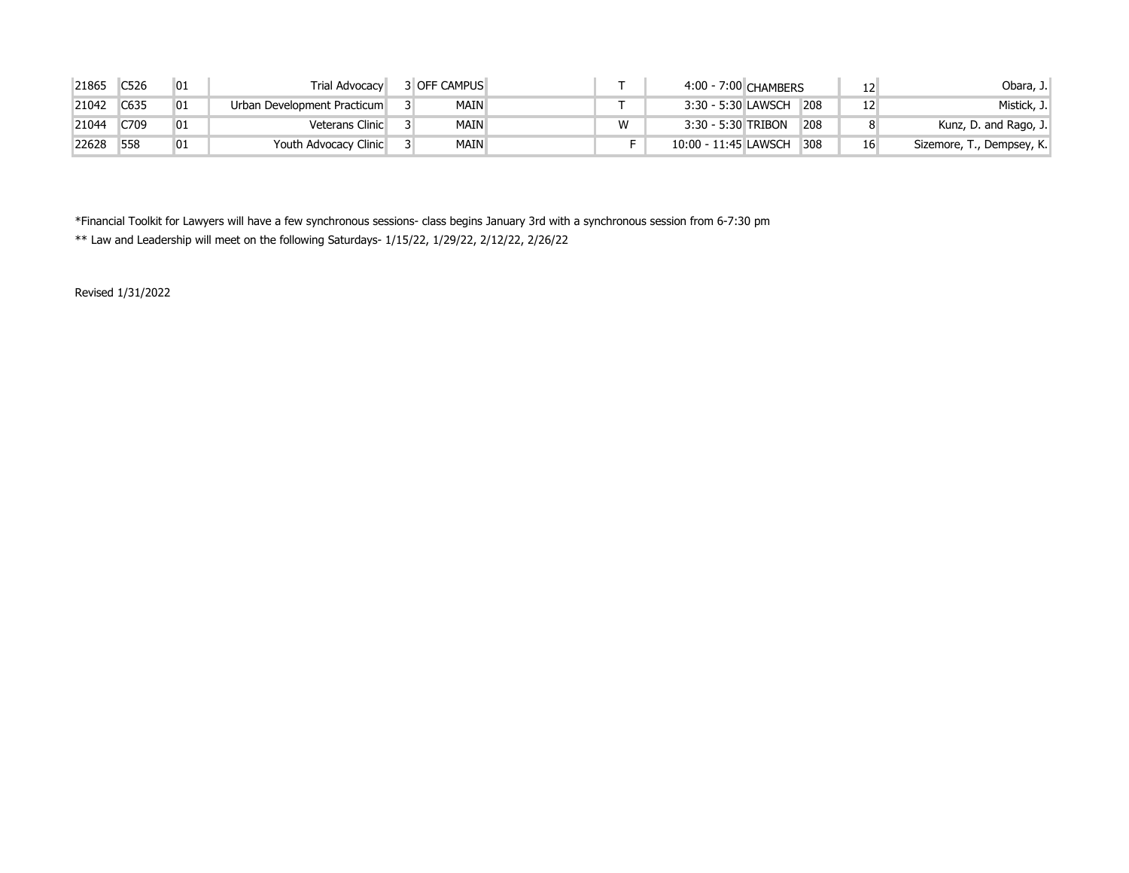| 21865 | C526 | 01 | Trial Advocacy              | <b>3 OFF CAMPUS</b> |   | 4:00 - 7:00 CHAMBERS |     | Obara, J.                 |
|-------|------|----|-----------------------------|---------------------|---|----------------------|-----|---------------------------|
| 21042 | C635 | 01 | Urban Development Practicum | MAIN                |   | 3:30 - 5:30 LAWSCH   | 208 | Mistick, J.               |
| 21044 | C709 | 01 | Veterans Clinic             | <b>MAIN</b>         | W | 3:30 - 5:30 TRIBON   | 208 | Kunz, D. and Rago, J.     |
| 22628 | 558  | 01 | Youth Advocacy Clinic       | <b>MAIN</b>         |   | 10:00 - 11:45 LAWSCH | 308 | Sizemore, T., Dempsey, K. |

\*Financial Toolkit for Lawyers will have a few synchronous sessions- class begins January 3rd with a synchronous session from 6-7:30 pm \*\* Law and Leadership will meet on the following Saturdays- 1/15/22, 1/29/22, 2/12/22, 2/26/22

Revised 1/31/2022